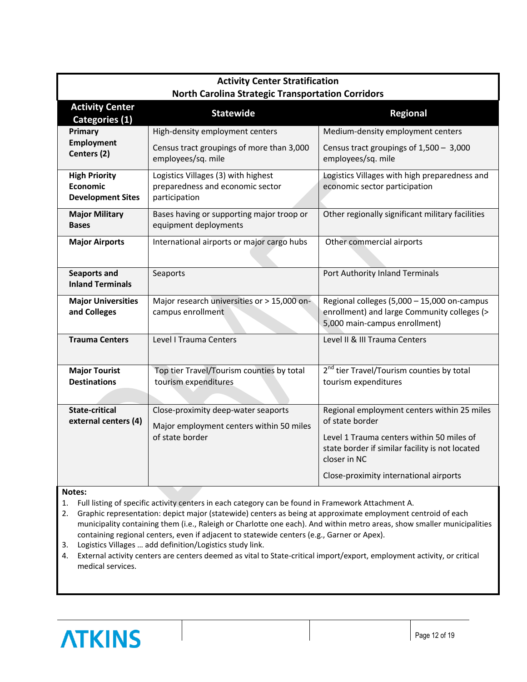| <b>Activity Center Stratification</b><br><b>North Carolina Strategic Transportation Corridors</b> |                                                                                                    |                                                                                                                                                                                                                          |
|---------------------------------------------------------------------------------------------------|----------------------------------------------------------------------------------------------------|--------------------------------------------------------------------------------------------------------------------------------------------------------------------------------------------------------------------------|
| <b>Activity Center</b><br>Categories (1)                                                          | <b>Statewide</b>                                                                                   | <b>Regional</b>                                                                                                                                                                                                          |
| Primary<br><b>Employment</b><br>Centers (2)                                                       | High-density employment centers<br>Census tract groupings of more than 3,000<br>employees/sq. mile | Medium-density employment centers<br>Census tract groupings of $1,500 - 3,000$<br>employees/sq. mile                                                                                                                     |
| <b>High Priority</b><br>Economic<br><b>Development Sites</b>                                      | Logistics Villages (3) with highest<br>preparedness and economic sector<br>participation           | Logistics Villages with high preparedness and<br>economic sector participation                                                                                                                                           |
| <b>Major Military</b><br><b>Bases</b>                                                             | Bases having or supporting major troop or<br>equipment deployments                                 | Other regionally significant military facilities                                                                                                                                                                         |
| <b>Major Airports</b>                                                                             | International airports or major cargo hubs                                                         | Other commercial airports                                                                                                                                                                                                |
| <b>Seaports and</b><br><b>Inland Terminals</b>                                                    | Seaports                                                                                           | Port Authority Inland Terminals                                                                                                                                                                                          |
| <b>Major Universities</b><br>and Colleges                                                         | Major research universities or > 15,000 on-<br>campus enrollment                                   | Regional colleges (5,000 - 15,000 on-campus<br>enrollment) and large Community colleges (><br>5,000 main-campus enrollment)                                                                                              |
| <b>Trauma Centers</b>                                                                             | Level I Trauma Centers                                                                             | Level II & III Trauma Centers                                                                                                                                                                                            |
| <b>Major Tourist</b><br><b>Destinations</b>                                                       | Top tier Travel/Tourism counties by total<br>tourism expenditures                                  | 2 <sup>nd</sup> tier Travel/Tourism counties by total<br>tourism expenditures                                                                                                                                            |
| <b>State-critical</b><br>external centers (4)                                                     | Close-proximity deep-water seaports<br>Major employment centers within 50 miles<br>of state border | Regional employment centers within 25 miles<br>of state border<br>Level 1 Trauma centers within 50 miles of<br>state border if similar facility is not located<br>closer in NC<br>Close-proximity international airports |

**Notes:**

1. Full listing of specific activity centers in each category can be found in Framework Attachment A.

2. Graphic representation: depict major (statewide) centers as being at approximate employment centroid of each municipality containing them (i.e., Raleigh or Charlotte one each). And within metro areas, show smaller municipalities containing regional centers, even if adjacent to statewide centers (e.g., Garner or Apex).

- 3. Logistics Villages … add definition/Logistics study link.
- 4. External activity centers are centers deemed as vital to State-critical import/export, employment activity, or critical medical services.

## **ATKINS**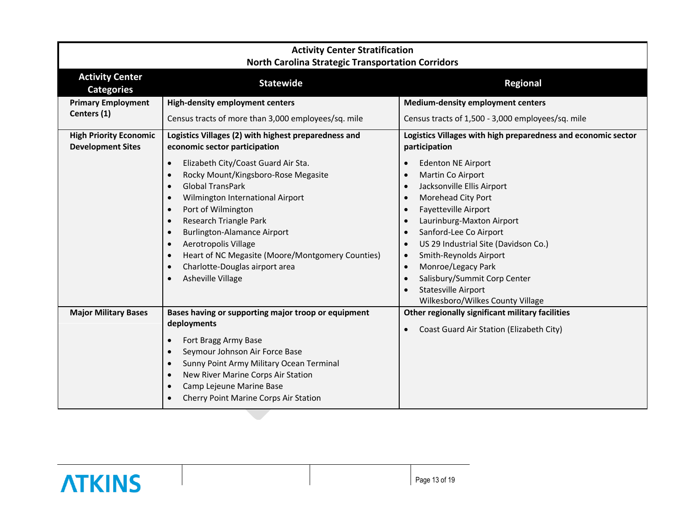| <b>Activity Center Stratification</b><br><b>North Carolina Strategic Transportation Corridors</b>     |                                                                                                                                                                                                                                                                                                                                                                                                                                                  |                                                                                                                                                                                                                                                                                                                                                                                                                                              |
|-------------------------------------------------------------------------------------------------------|--------------------------------------------------------------------------------------------------------------------------------------------------------------------------------------------------------------------------------------------------------------------------------------------------------------------------------------------------------------------------------------------------------------------------------------------------|----------------------------------------------------------------------------------------------------------------------------------------------------------------------------------------------------------------------------------------------------------------------------------------------------------------------------------------------------------------------------------------------------------------------------------------------|
| <b>Activity Center</b><br><b>Categories</b>                                                           | <b>Statewide</b>                                                                                                                                                                                                                                                                                                                                                                                                                                 | <b>Regional</b>                                                                                                                                                                                                                                                                                                                                                                                                                              |
| <b>Primary Employment</b><br>Centers (1)<br><b>High Priority Economic</b><br><b>Development Sites</b> | <b>High-density employment centers</b><br>Census tracts of more than 3,000 employees/sq. mile<br>Logistics Villages (2) with highest preparedness and<br>economic sector participation                                                                                                                                                                                                                                                           | <b>Medium-density employment centers</b><br>Census tracts of 1,500 - 3,000 employees/sq. mile<br>Logistics Villages with high preparedness and economic sector<br>participation                                                                                                                                                                                                                                                              |
|                                                                                                       | Elizabeth City/Coast Guard Air Sta.<br>$\bullet$<br>Rocky Mount/Kingsboro-Rose Megasite<br><b>Global TransPark</b><br>$\bullet$<br>Wilmington International Airport<br>$\bullet$<br>Port of Wilmington<br>$\bullet$<br>Research Triangle Park<br>$\bullet$<br><b>Burlington-Alamance Airport</b><br>$\bullet$<br>Aerotropolis Village<br>Heart of NC Megasite (Moore/Montgomery Counties)<br>Charlotte-Douglas airport area<br>Asheville Village | <b>Edenton NE Airport</b><br>Martin Co Airport<br>$\bullet$<br>Jacksonville Ellis Airport<br>Morehead City Port<br>Fayetteville Airport<br>$\bullet$<br>Laurinburg-Maxton Airport<br>Sanford-Lee Co Airport<br>$\bullet$<br>US 29 Industrial Site (Davidson Co.)<br>Smith-Reynolds Airport<br>$\bullet$<br>Monroe/Legacy Park<br>$\bullet$<br>Salisbury/Summit Corp Center<br><b>Statesville Airport</b><br>Wilkesboro/Wilkes County Village |
| <b>Major Military Bases</b>                                                                           | Bases having or supporting major troop or equipment<br>deployments<br>Fort Bragg Army Base<br>Seymour Johnson Air Force Base<br>Sunny Point Army Military Ocean Terminal<br>$\bullet$<br>New River Marine Corps Air Station<br>Camp Lejeune Marine Base<br>Cherry Point Marine Corps Air Station                                                                                                                                                 | Other regionally significant military facilities<br>Coast Guard Air Station (Elizabeth City)<br>$\bullet$                                                                                                                                                                                                                                                                                                                                    |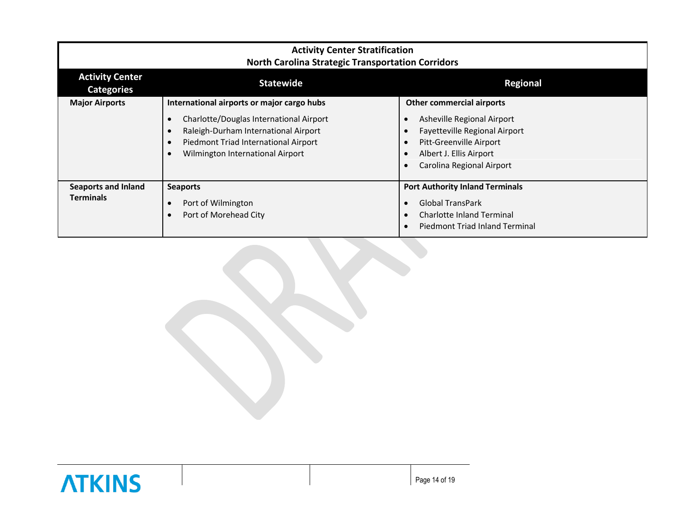| <b>Activity Center Stratification</b><br><b>North Carolina Strategic Transportation Corridors</b> |                                                                                                                                                                                                           |                                                                                                                                                                             |
|---------------------------------------------------------------------------------------------------|-----------------------------------------------------------------------------------------------------------------------------------------------------------------------------------------------------------|-----------------------------------------------------------------------------------------------------------------------------------------------------------------------------|
| <b>Activity Center</b><br><b>Categories</b>                                                       | <b>Statewide</b>                                                                                                                                                                                          | <b>Regional</b>                                                                                                                                                             |
| <b>Major Airports</b>                                                                             | International airports or major cargo hubs<br>Charlotte/Douglas International Airport<br>Raleigh-Durham International Airport<br>Piedmont Triad International Airport<br>Wilmington International Airport | <b>Other commercial airports</b><br>Asheville Regional Airport<br>Fayetteville Regional Airport<br>Pitt-Greenville Airport<br>Albert J. Ellis Airport                       |
| <b>Seaports and Inland</b><br><b>Terminals</b>                                                    | <b>Seaports</b><br>Port of Wilmington<br>Port of Morehead City                                                                                                                                            | Carolina Regional Airport<br><b>Port Authority Inland Terminals</b><br><b>Global TransPark</b><br><b>Charlotte Inland Terminal</b><br><b>Piedmont Triad Inland Terminal</b> |

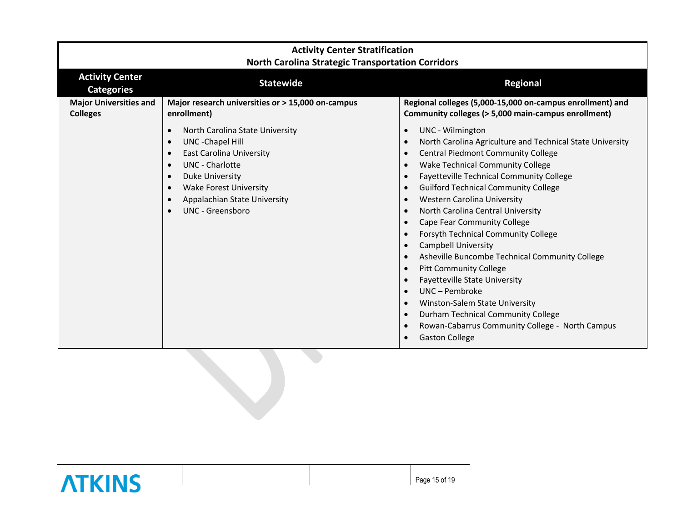| <b>Activity Center Stratification</b><br><b>North Carolina Strategic Transportation Corridors</b> |                                                                                                                                                                                                                                                                               |                                                                                                                                                                                                                                                                                                                                                                                                                                                                                                                                                                                                                                                                                                                                                                                                            |
|---------------------------------------------------------------------------------------------------|-------------------------------------------------------------------------------------------------------------------------------------------------------------------------------------------------------------------------------------------------------------------------------|------------------------------------------------------------------------------------------------------------------------------------------------------------------------------------------------------------------------------------------------------------------------------------------------------------------------------------------------------------------------------------------------------------------------------------------------------------------------------------------------------------------------------------------------------------------------------------------------------------------------------------------------------------------------------------------------------------------------------------------------------------------------------------------------------------|
| <b>Activity Center</b><br><b>Categories</b>                                                       | <b>Statewide</b>                                                                                                                                                                                                                                                              | <b>Regional</b>                                                                                                                                                                                                                                                                                                                                                                                                                                                                                                                                                                                                                                                                                                                                                                                            |
| <b>Major Universities and</b><br><b>Colleges</b>                                                  | Major research universities or > 15,000 on-campus<br>enrollment)                                                                                                                                                                                                              | Regional colleges (5,000-15,000 on-campus enrollment) and<br>Community colleges (> 5,000 main-campus enrollment)                                                                                                                                                                                                                                                                                                                                                                                                                                                                                                                                                                                                                                                                                           |
|                                                                                                   | North Carolina State University<br>$\bullet$<br>UNC - Chapel Hill<br>$\bullet$<br><b>East Carolina University</b><br>$\bullet$<br><b>UNC</b> - Charlotte<br>$\bullet$<br>Duke University<br><b>Wake Forest University</b><br>Appalachian State University<br>UNC - Greensboro | UNC - Wilmington<br>$\bullet$<br>North Carolina Agriculture and Technical State University<br>$\bullet$<br><b>Central Piedmont Community College</b><br>Wake Technical Community College<br>Fayetteville Technical Community College<br><b>Guilford Technical Community College</b><br><b>Western Carolina University</b><br>$\bullet$<br>North Carolina Central University<br>Cape Fear Community College<br>$\bullet$<br>Forsyth Technical Community College<br><b>Campbell University</b><br>Asheville Buncombe Technical Community College<br><b>Pitt Community College</b><br><b>Fayetteville State University</b><br>UNC - Pembroke<br>$\bullet$<br>Winston-Salem State University<br>Durham Technical Community College<br>Rowan-Cabarrus Community College - North Campus<br><b>Gaston College</b> |

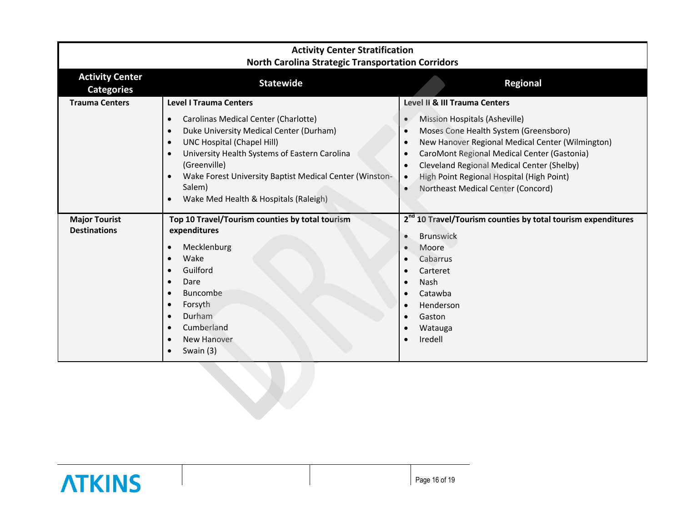| <b>Activity Center Stratification</b><br><b>North Carolina Strategic Transportation Corridors</b> |                                                                                                                                                                                                                                                                                                                                      |                                                                                                                                                                                                                                                                                                                                                                              |
|---------------------------------------------------------------------------------------------------|--------------------------------------------------------------------------------------------------------------------------------------------------------------------------------------------------------------------------------------------------------------------------------------------------------------------------------------|------------------------------------------------------------------------------------------------------------------------------------------------------------------------------------------------------------------------------------------------------------------------------------------------------------------------------------------------------------------------------|
| <b>Activity Center</b><br><b>Categories</b>                                                       | <b>Statewide</b>                                                                                                                                                                                                                                                                                                                     | <b>Regional</b>                                                                                                                                                                                                                                                                                                                                                              |
| <b>Trauma Centers</b>                                                                             | <b>Level I Trauma Centers</b><br>Carolinas Medical Center (Charlotte)<br>Duke University Medical Center (Durham)<br><b>UNC Hospital (Chapel Hill)</b><br>University Health Systems of Eastern Carolina<br>(Greenville)<br>Wake Forest University Baptist Medical Center (Winston-<br>Salem)<br>Wake Med Health & Hospitals (Raleigh) | Level II & III Trauma Centers<br><b>Mission Hospitals (Asheville)</b><br>Moses Cone Health System (Greensboro)<br>New Hanover Regional Medical Center (Wilmington)<br>CaroMont Regional Medical Center (Gastonia)<br>Cleveland Regional Medical Center (Shelby)<br>High Point Regional Hospital (High Point)<br>$\bullet$<br>Northeast Medical Center (Concord)<br>$\bullet$ |
| <b>Major Tourist</b><br><b>Destinations</b>                                                       | Top 10 Travel/Tourism counties by total tourism<br>expenditures<br>Mecklenburg<br>Wake<br>Guilford<br>Dare<br>Buncombe<br>Forsyth<br>Durham<br>Cumberland<br><b>New Hanover</b><br>Swain (3)                                                                                                                                         | 2 <sup>nd</sup> 10 Travel/Tourism counties by total tourism expenditures<br><b>Brunswick</b><br>Moore<br>Cabarrus<br>Carteret<br><b>Nash</b><br>Catawba<br>Henderson<br>Gaston<br>Watauga<br>Iredell                                                                                                                                                                         |